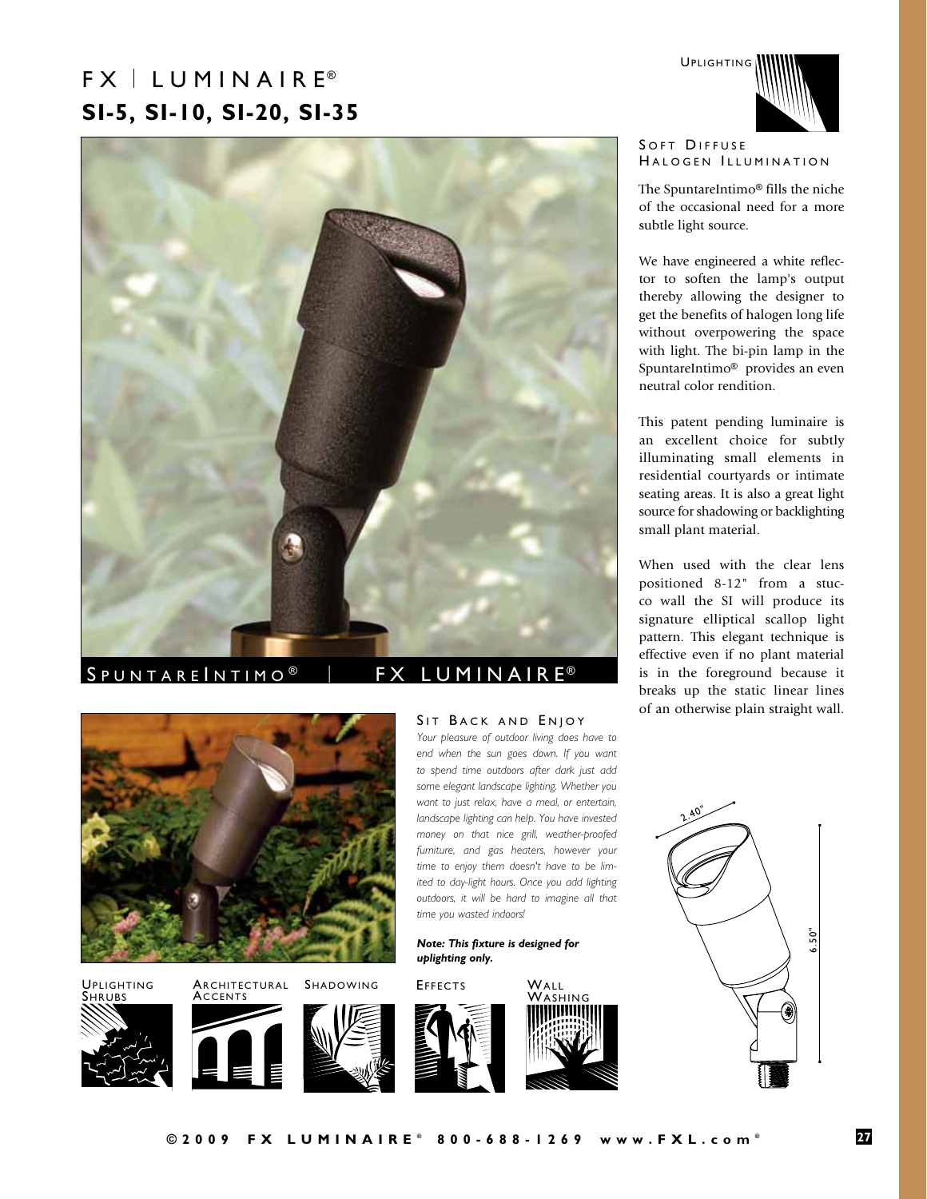# $FX \perp LUMIN AIR E<sup>®</sup>$ **SI-5, SI-10, SI-20, SI-35**



### S P U N T A R E I N T I M O ® | F X L U M I N A I R E ®

*time you wasted indoors!*

*uplighting only.*

*Note: This fixture is designed for* 

SIT BACK AND ENJOY *Your pleasure of outdoor living does have to end when the sun goes down. If you want to spend time outdoors after dark just add some elegant landscape lighting. Whether you want to just relax, have a meal, or entertain, landscape lighting can help. You have invested money on that nice grill, weather-proofed furniture, and gas heaters, however your time to enjoy them doesn't have to be limited to day-light hours. Once you add lighting outdoors, it will be hard to imagine all that* 



Uplighting Architectural Shadowing Shrubs

**ACCENTS** 









### SOFT DIFFUSE HALOGEN ILLUMINATION

The SpuntareIntimo® fills the niche of the occasional need for a more subtle light source.

We have engineered a white reflector to soften the lamp's output thereby allowing the designer to get the benefits of halogen long life without overpowering the space with light. The bi-pin lamp in the SpuntareIntimo® provides an even neutral color rendition.

This patent pending luminaire is an excellent choice for subtly illuminating small elements in residential courtyards or intimate seating areas. It is also a great light source for shadowing or backlighting small plant material.

When used with the clear lens positioned 8-12" from a stucco wall the SI will produce its signature elliptical scallop light pattern. This elegant technique is effective even if no plant material is in the foreground because it breaks up the static linear lines of an otherwise plain straight wall.